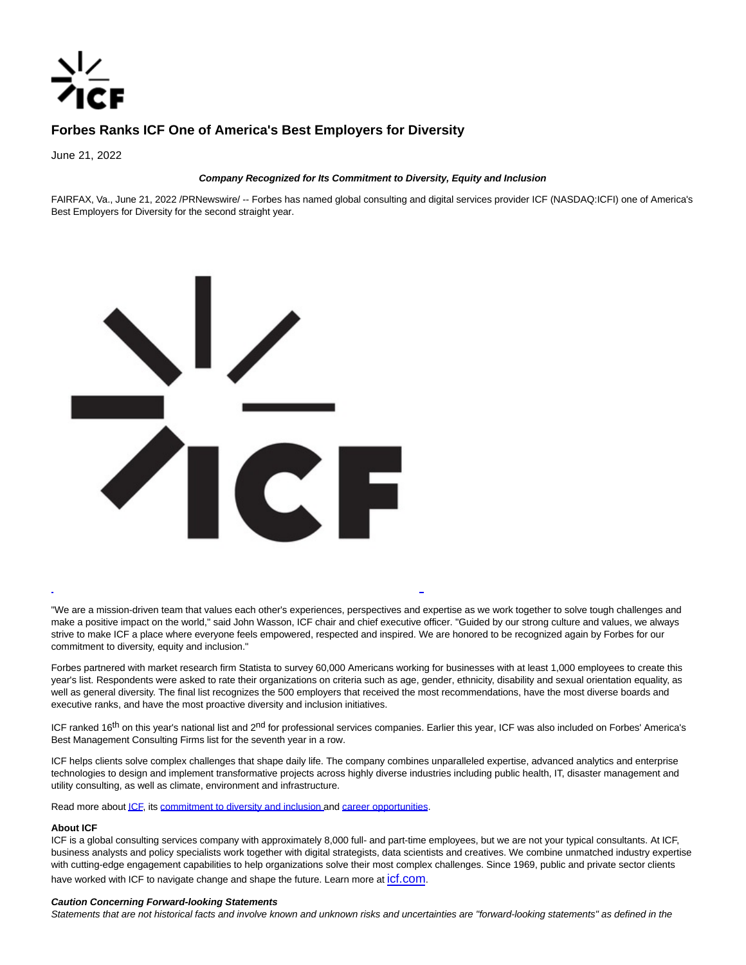

## **Forbes Ranks ICF One of America's Best Employers for Diversity**

June 21, 2022

## **Company Recognized for Its Commitment to Diversity, Equity and Inclusion**

FAIRFAX, Va., June 21, 2022 /PRNewswire/ -- Forbes has named global consulting and digital services provider ICF (NASDAQ:ICFI) one of America's Best Employers for Diversity for the second straight year.



"We are a mission-driven team that values each other's experiences, perspectives and expertise as we work together to solve tough challenges and make a positive impact on the world," said John Wasson, ICF chair and chief executive officer. "Guided by our strong culture and values, we always strive to make ICF a place where everyone feels empowered, respected and inspired. We are honored to be recognized again by Forbes for our commitment to diversity, equity and inclusion."

L

Forbes partnered with market research firm Statista to survey 60,000 Americans working for businesses with at least 1,000 employees to create this year's list. Respondents were asked to rate their organizations on criteria such as age, gender, ethnicity, disability and sexual orientation equality, as well as general diversity. The final list recognizes the 500 employers that received the most recommendations, have the most diverse boards and executive ranks, and have the most proactive diversity and inclusion initiatives.

ICF ranked 16<sup>th</sup> on this year's national list and 2<sup>nd</sup> for professional services companies. Earlier this year, ICF was also included on Forbes' America's Best Management Consulting Firms list for the seventh year in a row.

ICF helps clients solve complex challenges that shape daily life. The company combines unparalleled expertise, advanced analytics and enterprise technologies to design and implement transformative projects across highly diverse industries including public health, IT, disaster management and utility consulting, as well as climate, environment and infrastructure.

Read more about *ICF*, its [commitment to diversity and inclusion a](https://c212.net/c/link/?t=0&l=en&o=3573315-1&h=3288579665&u=https%3A%2F%2Fwww.icf.com%2Fcompany%2Fabout%2Fdiversity-inclusion&a=commitment+to+diversity+and+inclusion%C2%A0)nd career opportunities.

## **About ICF**

ICF is a global consulting services company with approximately 8,000 full- and part-time employees, but we are not your typical consultants. At ICF, business analysts and policy specialists work together with digital strategists, data scientists and creatives. We combine unmatched industry expertise with cutting-edge engagement capabilities to help organizations solve their most complex challenges. Since 1969, public and private sector clients have worked with ICF to navigate change and shape the future. Learn more at [icf.com](https://c212.net/c/link/?t=0&l=en&o=3573315-1&h=75638505&u=https%3A%2F%2Fwww.icf.com%2F&a=icf.com).

## **Caution Concerning Forward-looking Statements**

Statements that are not historical facts and involve known and unknown risks and uncertainties are "forward-looking statements" as defined in the